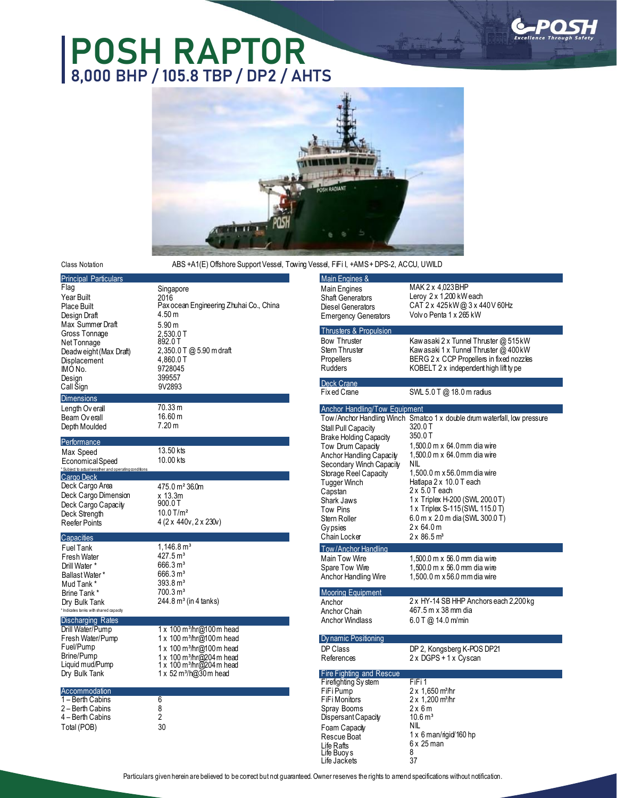# **POSH RAPTOR 8,000 BHP / 105.8 TBP / DP2 / AHTS**





#### Class Notation

ABS +A1(E) Offshore Support Vessel, Towing Vessel, FiFi I, +AMS + DPS-2, ACCU, UWILD

| <b>Principal Particulars</b>                         |                                         | Main Engines &                    |                     |
|------------------------------------------------------|-----------------------------------------|-----------------------------------|---------------------|
|                                                      |                                         |                                   | MAK2                |
| Flag                                                 | Singapore                               | <b>Main Engines</b>               |                     |
| Year Built                                           | 2016                                    | <b>Shaft Generators</b>           | Leroy 2             |
| <b>Place Built</b>                                   | Pax ocean Engineering Zhuhai Co., China | Diesel Generators                 | CAT 2 x             |
| Design Draft                                         | 4.50 m                                  | <b>Emergency Generators</b>       | Volv o P            |
| Max Summer Draft                                     | 5.90 <sub>m</sub>                       | <b>Thrusters &amp; Propulsion</b> |                     |
| Gross Tonnage                                        | 2,530.0 T                               |                                   |                     |
| Net Tonnage                                          | 892.0 T                                 | <b>Bow Thruster</b>               | Kaw asa             |
| Deadw eight (Max Draft)                              | $2,350.0$ T @ 5.90 m draft              | <b>Stern Thruster</b>             | Kaw asa             |
| Displacement                                         | 4,860.0 T                               | Propellers                        | <b>BERG2</b>        |
| IMO No.                                              | 9728045                                 | <b>Rudders</b>                    | KOBEL <sup>-</sup>  |
| Design                                               | 399557                                  |                                   |                     |
| Call Sign                                            | 9V2893                                  | <b>Deck Crane</b><br>Fix ed Crane | SWL 5.0             |
| <b>Dimensions</b>                                    |                                         |                                   |                     |
| Length Overall                                       | 70.33 m                                 | Anchor Handling/Tow Equipment     |                     |
| Beam Overall                                         | 16.60 m                                 | Tow/Anchor Handling Winch Smatco  |                     |
| Depth Moulded                                        | 7.20 m                                  |                                   | 320.0 T             |
|                                                      |                                         | Stall Pull Capacity               | 350.0T              |
| Performance                                          |                                         | <b>Brake Holding Capacity</b>     | 1,500.0             |
| Max Speed                                            | 13.50 kts                               | Tow Drum Capacity                 |                     |
| Economical Speed                                     | 10.00 kts                               | Anchor Handling Capacity          | 1,500.0             |
| * Subject to actual weather and operating conditions |                                         | Secondary Winch Capacity          | ΝIL                 |
| Cargo Deck                                           |                                         | Storage Reel Capacity             | 1,500.0             |
| Deck Cargo Area                                      | 475.0 m <sup>2</sup> 36.0m              | Tugger Winch                      | Hatlapa             |
| Deck Cargo Dimension                                 | x 13.3m                                 | Capstan                           | $2\times5.0^\circ$  |
| Deck Cargo Capacity                                  | 900.0T                                  | <b>Shark Jaws</b>                 | 1 x Trip            |
| Deck Strength                                        | $10.0$ T/m <sup>2</sup>                 | <b>Tow Pins</b>                   | 1 x Trip            |
| <b>Reefer Points</b>                                 | 4 (2 x 440v, 2 x 230v)                  | Stern Roller                      | 6.0 <sub>m</sub> x  |
|                                                      |                                         | <b>Gypsies</b>                    | $2 \times 64.0$     |
| Capacities                                           |                                         | Chain Locker                      | 2 x 86.5            |
| <b>Fuel Tank</b>                                     | $1,146.8 \,\mathrm{m}^3$                | Tow/Anchor Handling               |                     |
| <b>Fresh Water</b>                                   | 427.5 m <sup>3</sup>                    | Main Tow Wire                     | 1,500.0             |
| Drill Water *                                        | 666.3 m <sup>3</sup>                    | Spare Tow Wire                    | 1,500.0             |
| Ballast Water*                                       | 666.3 m <sup>3</sup>                    | Anchor Handling Wire              | 1,500.0             |
| Mud Tank *                                           | $393.8 \,\mathrm{m}^3$                  |                                   |                     |
| Brine Tank *                                         | 700.3 m <sup>3</sup>                    | <b>Mooring Equipment</b>          |                     |
| Dry Bulk Tank                                        | $244.8 \,\mathrm{m}^3$ (in 4 tanks)     | Anchor                            | $2x$ HY-            |
| * Indicates tanks with shared capacity               |                                         | Anchor Chain                      | 467.5m              |
| <b>Discharging Rates</b>                             |                                         | <b>Anchor Windlass</b>            | $6.0$ T $@$         |
| Drill Water/Pump                                     | 1 x 100 m <sup>3</sup> /hr@100 m head   |                                   |                     |
| Fresh Water/Pump                                     | 1 x 100 m <sup>3</sup> /hr@100 m head   | Dy namic Positioning              |                     |
| Fuel/Pump                                            | 1 x 100 m <sup>3</sup> /hr@100 m head   | DP Class                          | DP 2. K             |
| Brine/Pump                                           | 1 x 100 m <sup>3</sup> /hr@204 m head   | References                        | 2 x DGF             |
| Liquid mud/Pump                                      | 1 x 100 m <sup>3</sup> /hr@204 m head   |                                   |                     |
| Dry Bulk Tank                                        | 1 x 52 m <sup>3</sup> /h@30 m head      | <b>Fire Fighting and Rescue</b>   |                     |
|                                                      |                                         | Firefighting System               | FiFi 1              |
| Accommodation                                        |                                         | FiFi Pump                         | $2 \times 1,65$     |
| 1 - Berth Cabins                                     | 6                                       | FiFi Monitors                     | $2 \times 1,20$     |
| 2 – Berth Cabins                                     | 8                                       | Spray Booms                       | $2\times 6m$        |
| 4 – Berth Cabins                                     | 2                                       | Dispersant Capacity               | 10.6 m <sup>3</sup> |
| Total (POB)                                          | 30                                      | Foam Capacity                     | NIL                 |
|                                                      |                                         | Rescue Boat                       | $1 \times 6$ m      |

Leroy 2 x 1,200 kWeach CAT 2 x 425 kW @ 3 x 440 V 60Hz Volv o Penta 1 x 265 kW

MAK 2 x 4,023BHP

Kaw asaki 2 x Tunnel Thruster @ 515 kW Kaw asaki 1 x Tunnel Thruster @ 400 kW BERG 2 x CCP Propellers in fixed nozzles KOBELT 2 x independent high lift ty pe

 $SWL 5.0 T @ 18.0 m radius$ 

#### **Handling/Tow Equipment**

hor Handling Winch Smatco 1 x double drum waterfall, low pressure Capacity Iding Capacity m Capacity landling Capacity ry Winch Capacity **Reel Capacity** Vinch  $ws$ Tow Pins ller cker 320.0 T 350.0 T 1,500.0 m x 64.0mm dia wire 1,500.0 m x 64.0mm dia wire NIL 1,500.0 m x 56.0 mm dia wire Hatlapa 2 x 10.0 T each 2 x 5.0 T each 1 x Triplex H-200 (SWL 200.0T) 1 x Triplex S-115(SWL 115.0 T) 6.0 m x 2.0 m dia (SWL 300.0 T) 2 x 64.0 m  $2 \times 86.5$  m<sup>3</sup> hor Handling v Wire w Wire landling Wire 1,500.0 m x 56.0 mm dia wire 1,500.0 m x 56.0 mm dia wire 1,500.0 m x 56.0 mmdia wire Equipment ∶hain<br>Vindlass 2 x HY-14 SB HHP Anchors each 2,200 kg 467.5 m x 38 mm dia  $6.0$  T @ 14.0 m/min DP Class es DP 2, Kongsberg K-POS DP21 2 x DGPS + 1 x Cyscan ting and Rescu ng System FiFi 1<br>p 2 x 1,6

### $\frac{p}{10}$  and  $\frac{p}{10}$  2 x 1,650 m<sup>3</sup>/hr  $\frac{1}{10}$  itors  $\frac{2 \times 1,200 \text{ m}^3}{h}$

NIL  $1 \times 6$  man/rigid/160 hp 6 x 25 man 8<br>37

Particulars given herein are believed to be correct but not guaranteed. Owner reserves the rights to amend specifications without notification.

Life Rafts Life Buoy s

Life Jackets